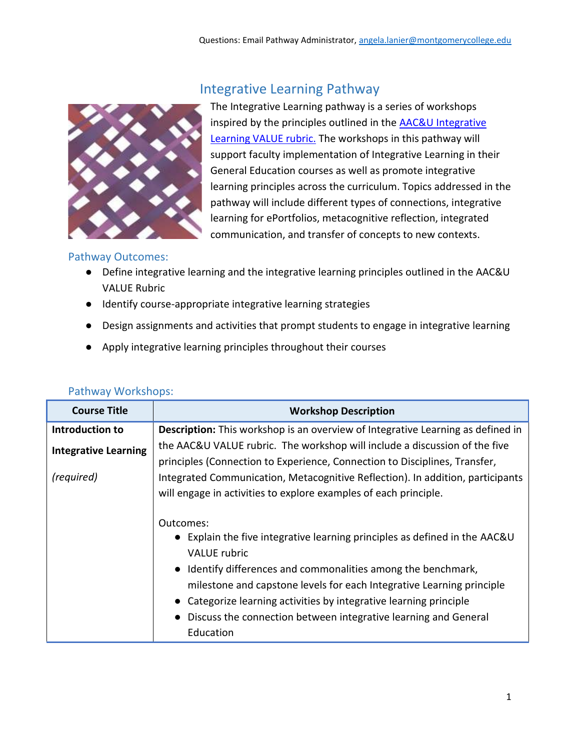

## Integrative Learning Pathway

The Integrative Learning pathway is a series of workshops inspired by the principles outlined in the [AAC&U Integrative](https://info.montgomerycollege.edu/_documents/offices/learning-outcomes-assessment/general-education-assessment/rubrics/integrative-learning.pdf)  [Learning VALUE rubric.](https://info.montgomerycollege.edu/_documents/offices/learning-outcomes-assessment/general-education-assessment/rubrics/integrative-learning.pdf) The workshops in this pathway will support faculty implementation of Integrative Learning in their General Education courses as well as promote integrative learning principles across the curriculum. Topics addressed in the pathway will include different types of connections, integrative learning for ePortfolios, metacognitive reflection, integrated communication, and transfer of concepts to new contexts.

## Pathway Outcomes:

- Define integrative learning and the integrative learning principles outlined in the AAC&U VALUE Rubric
- Identify course-appropriate integrative learning strategies
- Design assignments and activities that prompt students to engage in integrative learning
- Apply integrative learning principles throughout their courses

| <b>Course Title</b>         | <b>Workshop Description</b>                                                                                                                                                                                                                                                                                                                                                                                  |
|-----------------------------|--------------------------------------------------------------------------------------------------------------------------------------------------------------------------------------------------------------------------------------------------------------------------------------------------------------------------------------------------------------------------------------------------------------|
| Introduction to             | Description: This workshop is an overview of Integrative Learning as defined in                                                                                                                                                                                                                                                                                                                              |
| <b>Integrative Learning</b> | the AAC&U VALUE rubric. The workshop will include a discussion of the five<br>principles (Connection to Experience, Connection to Disciplines, Transfer,                                                                                                                                                                                                                                                     |
| (required)                  | Integrated Communication, Metacognitive Reflection). In addition, participants<br>will engage in activities to explore examples of each principle.                                                                                                                                                                                                                                                           |
|                             | Outcomes:<br>• Explain the five integrative learning principles as defined in the AAC&U<br><b>VALUE</b> rubric<br>• Identify differences and commonalities among the benchmark,<br>milestone and capstone levels for each Integrative Learning principle<br>Categorize learning activities by integrative learning principle<br>Discuss the connection between integrative learning and General<br>Education |

## Pathway Workshops: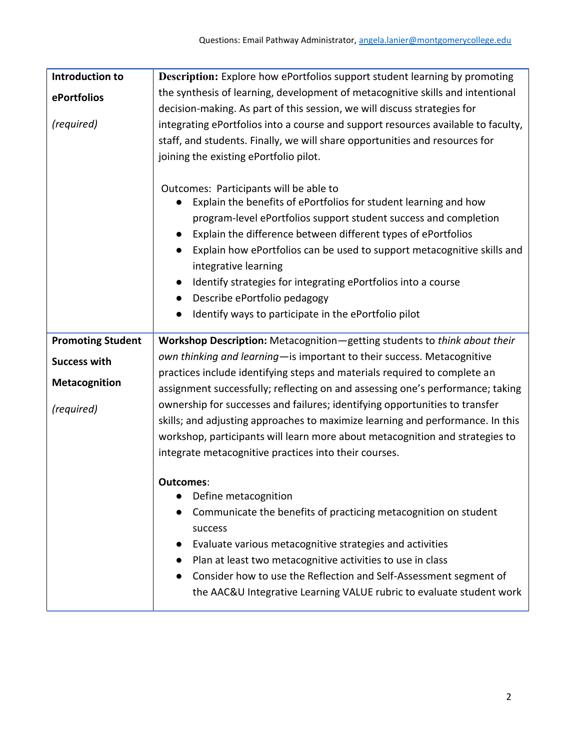| <b>Description:</b> Explore how ePortfolios support student learning by promoting                                                                                                                                                                                                                                                                                                                                                                                                          |
|--------------------------------------------------------------------------------------------------------------------------------------------------------------------------------------------------------------------------------------------------------------------------------------------------------------------------------------------------------------------------------------------------------------------------------------------------------------------------------------------|
| the synthesis of learning, development of metacognitive skills and intentional                                                                                                                                                                                                                                                                                                                                                                                                             |
| decision-making. As part of this session, we will discuss strategies for                                                                                                                                                                                                                                                                                                                                                                                                                   |
| integrating ePortfolios into a course and support resources available to faculty,                                                                                                                                                                                                                                                                                                                                                                                                          |
| staff, and students. Finally, we will share opportunities and resources for                                                                                                                                                                                                                                                                                                                                                                                                                |
| joining the existing ePortfolio pilot.                                                                                                                                                                                                                                                                                                                                                                                                                                                     |
| Outcomes: Participants will be able to<br>Explain the benefits of ePortfolios for student learning and how<br>program-level ePortfolios support student success and completion<br>Explain the difference between different types of ePortfolios<br>Explain how ePortfolios can be used to support metacognitive skills and<br>$\bullet$<br>integrative learning<br>Identify strategies for integrating ePortfolios into a course<br>$\bullet$<br>Describe ePortfolio pedagogy<br>$\bullet$ |
| Identify ways to participate in the ePortfolio pilot                                                                                                                                                                                                                                                                                                                                                                                                                                       |
| Workshop Description: Metacognition-getting students to think about their                                                                                                                                                                                                                                                                                                                                                                                                                  |
| own thinking and learning- is important to their success. Metacognitive                                                                                                                                                                                                                                                                                                                                                                                                                    |
| practices include identifying steps and materials required to complete an                                                                                                                                                                                                                                                                                                                                                                                                                  |
| assignment successfully; reflecting on and assessing one's performance; taking                                                                                                                                                                                                                                                                                                                                                                                                             |
| ownership for successes and failures; identifying opportunities to transfer                                                                                                                                                                                                                                                                                                                                                                                                                |
| skills; and adjusting approaches to maximize learning and performance. In this<br>workshop, participants will learn more about metacognition and strategies to                                                                                                                                                                                                                                                                                                                             |
| integrate metacognitive practices into their courses.                                                                                                                                                                                                                                                                                                                                                                                                                                      |
|                                                                                                                                                                                                                                                                                                                                                                                                                                                                                            |
| Outcomes:                                                                                                                                                                                                                                                                                                                                                                                                                                                                                  |
| Define metacognition                                                                                                                                                                                                                                                                                                                                                                                                                                                                       |
| Communicate the benefits of practicing metacognition on student                                                                                                                                                                                                                                                                                                                                                                                                                            |
| success                                                                                                                                                                                                                                                                                                                                                                                                                                                                                    |
| Evaluate various metacognitive strategies and activities                                                                                                                                                                                                                                                                                                                                                                                                                                   |
| Plan at least two metacognitive activities to use in class<br>Consider how to use the Reflection and Self-Assessment segment of                                                                                                                                                                                                                                                                                                                                                            |
| the AAC&U Integrative Learning VALUE rubric to evaluate student work                                                                                                                                                                                                                                                                                                                                                                                                                       |
|                                                                                                                                                                                                                                                                                                                                                                                                                                                                                            |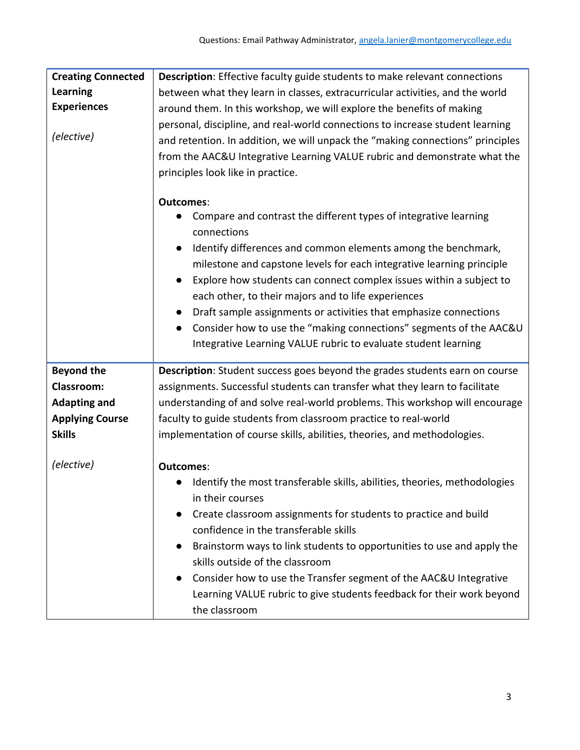| <b>Creating Connected</b> | <b>Description:</b> Effective faculty guide students to make relevant connections                                                                                                                                                                                                                                                                                                                                                                                                                           |
|---------------------------|-------------------------------------------------------------------------------------------------------------------------------------------------------------------------------------------------------------------------------------------------------------------------------------------------------------------------------------------------------------------------------------------------------------------------------------------------------------------------------------------------------------|
| <b>Learning</b>           | between what they learn in classes, extracurricular activities, and the world                                                                                                                                                                                                                                                                                                                                                                                                                               |
| <b>Experiences</b>        | around them. In this workshop, we will explore the benefits of making                                                                                                                                                                                                                                                                                                                                                                                                                                       |
| (elective)                | personal, discipline, and real-world connections to increase student learning<br>and retention. In addition, we will unpack the "making connections" principles<br>from the AAC&U Integrative Learning VALUE rubric and demonstrate what the<br>principles look like in practice.                                                                                                                                                                                                                           |
|                           | <b>Outcomes:</b>                                                                                                                                                                                                                                                                                                                                                                                                                                                                                            |
|                           | Compare and contrast the different types of integrative learning<br>connections                                                                                                                                                                                                                                                                                                                                                                                                                             |
|                           | Identify differences and common elements among the benchmark,<br>$\bullet$<br>milestone and capstone levels for each integrative learning principle<br>Explore how students can connect complex issues within a subject to<br>$\bullet$<br>each other, to their majors and to life experiences<br>Draft sample assignments or activities that emphasize connections<br>Consider how to use the "making connections" segments of the AAC&U<br>Integrative Learning VALUE rubric to evaluate student learning |
| <b>Beyond the</b>         | Description: Student success goes beyond the grades students earn on course                                                                                                                                                                                                                                                                                                                                                                                                                                 |
| <b>Classroom:</b>         | assignments. Successful students can transfer what they learn to facilitate                                                                                                                                                                                                                                                                                                                                                                                                                                 |
| <b>Adapting and</b>       | understanding of and solve real-world problems. This workshop will encourage                                                                                                                                                                                                                                                                                                                                                                                                                                |
| <b>Applying Course</b>    | faculty to guide students from classroom practice to real-world                                                                                                                                                                                                                                                                                                                                                                                                                                             |
| <b>Skills</b>             | implementation of course skills, abilities, theories, and methodologies.                                                                                                                                                                                                                                                                                                                                                                                                                                    |
| (elective)                | <b>Outcomes:</b><br>Identify the most transferable skills, abilities, theories, methodologies<br>in their courses<br>Create classroom assignments for students to practice and build                                                                                                                                                                                                                                                                                                                        |
|                           | confidence in the transferable skills                                                                                                                                                                                                                                                                                                                                                                                                                                                                       |
|                           | Brainstorm ways to link students to opportunities to use and apply the<br>skills outside of the classroom                                                                                                                                                                                                                                                                                                                                                                                                   |
|                           | Consider how to use the Transfer segment of the AAC&U Integrative<br>Learning VALUE rubric to give students feedback for their work beyond<br>the classroom                                                                                                                                                                                                                                                                                                                                                 |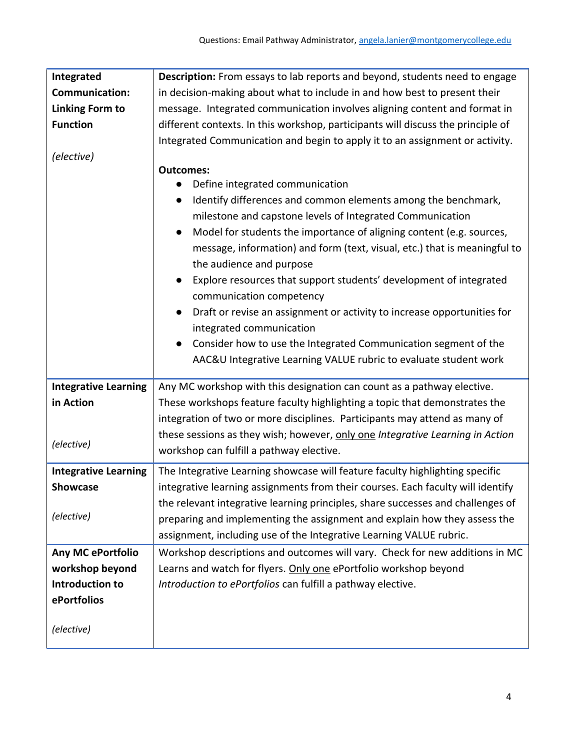| Integrated                  | Description: From essays to lab reports and beyond, students need to engage       |
|-----------------------------|-----------------------------------------------------------------------------------|
| <b>Communication:</b>       | in decision-making about what to include in and how best to present their         |
| <b>Linking Form to</b>      | message. Integrated communication involves aligning content and format in         |
| <b>Function</b>             | different contexts. In this workshop, participants will discuss the principle of  |
|                             | Integrated Communication and begin to apply it to an assignment or activity.      |
| (elective)                  |                                                                                   |
|                             | <b>Outcomes:</b>                                                                  |
|                             | Define integrated communication                                                   |
|                             | Identify differences and common elements among the benchmark,<br>$\bullet$        |
|                             | milestone and capstone levels of Integrated Communication                         |
|                             | Model for students the importance of aligning content (e.g. sources,<br>$\bullet$ |
|                             | message, information) and form (text, visual, etc.) that is meaningful to         |
|                             | the audience and purpose                                                          |
|                             | Explore resources that support students' development of integrated<br>$\bullet$   |
|                             | communication competency                                                          |
|                             | Draft or revise an assignment or activity to increase opportunities for           |
|                             | integrated communication                                                          |
|                             | Consider how to use the Integrated Communication segment of the                   |
|                             | AAC&U Integrative Learning VALUE rubric to evaluate student work                  |
|                             |                                                                                   |
| <b>Integrative Learning</b> | Any MC workshop with this designation can count as a pathway elective.            |
| in Action                   | These workshops feature faculty highlighting a topic that demonstrates the        |
|                             | integration of two or more disciplines. Participants may attend as many of        |
| (elective)                  | these sessions as they wish; however, only one Integrative Learning in Action     |
|                             | workshop can fulfill a pathway elective.                                          |
| <b>Integrative Learning</b> | The Integrative Learning showcase will feature faculty highlighting specific      |
| Showcase                    | integrative learning assignments from their courses. Each faculty will identify   |
|                             | the relevant integrative learning principles, share successes and challenges of   |
| (elective)                  | preparing and implementing the assignment and explain how they assess the         |
|                             | assignment, including use of the Integrative Learning VALUE rubric.               |
| Any MC ePortfolio           | Workshop descriptions and outcomes will vary. Check for new additions in MC       |
| workshop beyond             | Learns and watch for flyers. Only one ePortfolio workshop beyond                  |
| <b>Introduction to</b>      | Introduction to ePortfolios can fulfill a pathway elective.                       |
| ePortfolios                 |                                                                                   |
|                             |                                                                                   |
| (elective)                  |                                                                                   |
|                             |                                                                                   |